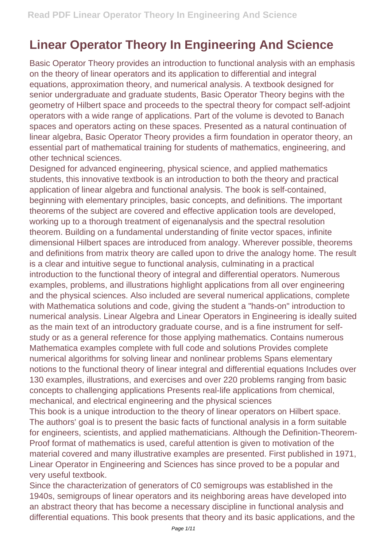## **Linear Operator Theory In Engineering And Science**

Basic Operator Theory provides an introduction to functional analysis with an emphasis on the theory of linear operators and its application to differential and integral equations, approximation theory, and numerical analysis. A textbook designed for senior undergraduate and graduate students, Basic Operator Theory begins with the geometry of Hilbert space and proceeds to the spectral theory for compact self-adjoint operators with a wide range of applications. Part of the volume is devoted to Banach spaces and operators acting on these spaces. Presented as a natural continuation of linear algebra, Basic Operator Theory provides a firm foundation in operator theory, an essential part of mathematical training for students of mathematics, engineering, and other technical sciences.

Designed for advanced engineering, physical science, and applied mathematics students, this innovative textbook is an introduction to both the theory and practical application of linear algebra and functional analysis. The book is self-contained, beginning with elementary principles, basic concepts, and definitions. The important theorems of the subject are covered and effective application tools are developed, working up to a thorough treatment of eigenanalysis and the spectral resolution theorem. Building on a fundamental understanding of finite vector spaces, infinite dimensional Hilbert spaces are introduced from analogy. Wherever possible, theorems and definitions from matrix theory are called upon to drive the analogy home. The result is a clear and intuitive segue to functional analysis, culminating in a practical introduction to the functional theory of integral and differential operators. Numerous examples, problems, and illustrations highlight applications from all over engineering and the physical sciences. Also included are several numerical applications, complete with Mathematica solutions and code, giving the student a "hands-on" introduction to numerical analysis. Linear Algebra and Linear Operators in Engineering is ideally suited as the main text of an introductory graduate course, and is a fine instrument for selfstudy or as a general reference for those applying mathematics. Contains numerous Mathematica examples complete with full code and solutions Provides complete numerical algorithms for solving linear and nonlinear problems Spans elementary notions to the functional theory of linear integral and differential equations Includes over 130 examples, illustrations, and exercises and over 220 problems ranging from basic concepts to challenging applications Presents real-life applications from chemical, mechanical, and electrical engineering and the physical sciences

This book is a unique introduction to the theory of linear operators on Hilbert space. The authors' goal is to present the basic facts of functional analysis in a form suitable for engineers, scientists, and applied mathematicians. Although the Definition-Theorem-Proof format of mathematics is used, careful attention is given to motivation of the material covered and many illustrative examples are presented. First published in 1971, Linear Operator in Engineering and Sciences has since proved to be a popular and very useful textbook.

Since the characterization of generators of C0 semigroups was established in the 1940s, semigroups of linear operators and its neighboring areas have developed into an abstract theory that has become a necessary discipline in functional analysis and differential equations. This book presents that theory and its basic applications, and the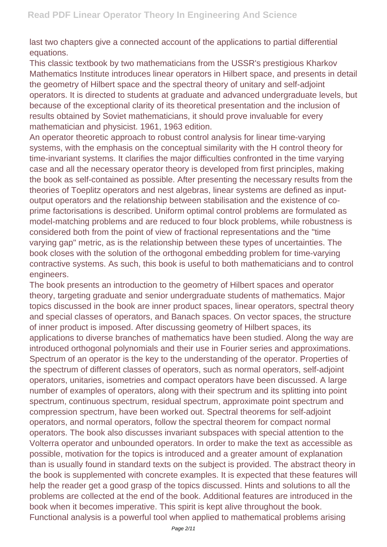last two chapters give a connected account of the applications to partial differential equations.

This classic textbook by two mathematicians from the USSR's prestigious Kharkov Mathematics Institute introduces linear operators in Hilbert space, and presents in detail the geometry of Hilbert space and the spectral theory of unitary and self-adjoint operators. It is directed to students at graduate and advanced undergraduate levels, but because of the exceptional clarity of its theoretical presentation and the inclusion of results obtained by Soviet mathematicians, it should prove invaluable for every mathematician and physicist. 1961, 1963 edition.

An operator theoretic approach to robust control analysis for linear time-varying systems, with the emphasis on the conceptual similarity with the H control theory for time-invariant systems. It clarifies the major difficulties confronted in the time varying case and all the necessary operator theory is developed from first principles, making the book as self-contained as possible. After presenting the necessary results from the theories of Toeplitz operators and nest algebras, linear systems are defined as inputoutput operators and the relationship between stabilisation and the existence of coprime factorisations is described. Uniform optimal control problems are formulated as model-matching problems and are reduced to four block problems, while robustness is considered both from the point of view of fractional representations and the "time varying gap" metric, as is the relationship between these types of uncertainties. The book closes with the solution of the orthogonal embedding problem for time-varying contractive systems. As such, this book is useful to both mathematicians and to control engineers.

The book presents an introduction to the geometry of Hilbert spaces and operator theory, targeting graduate and senior undergraduate students of mathematics. Major topics discussed in the book are inner product spaces, linear operators, spectral theory and special classes of operators, and Banach spaces. On vector spaces, the structure of inner product is imposed. After discussing geometry of Hilbert spaces, its applications to diverse branches of mathematics have been studied. Along the way are introduced orthogonal polynomials and their use in Fourier series and approximations. Spectrum of an operator is the key to the understanding of the operator. Properties of the spectrum of different classes of operators, such as normal operators, self-adjoint operators, unitaries, isometries and compact operators have been discussed. A large number of examples of operators, along with their spectrum and its splitting into point spectrum, continuous spectrum, residual spectrum, approximate point spectrum and compression spectrum, have been worked out. Spectral theorems for self-adjoint operators, and normal operators, follow the spectral theorem for compact normal operators. The book also discusses invariant subspaces with special attention to the Volterra operator and unbounded operators. In order to make the text as accessible as possible, motivation for the topics is introduced and a greater amount of explanation than is usually found in standard texts on the subject is provided. The abstract theory in the book is supplemented with concrete examples. It is expected that these features will help the reader get a good grasp of the topics discussed. Hints and solutions to all the problems are collected at the end of the book. Additional features are introduced in the book when it becomes imperative. This spirit is kept alive throughout the book. Functional analysis is a powerful tool when applied to mathematical problems arising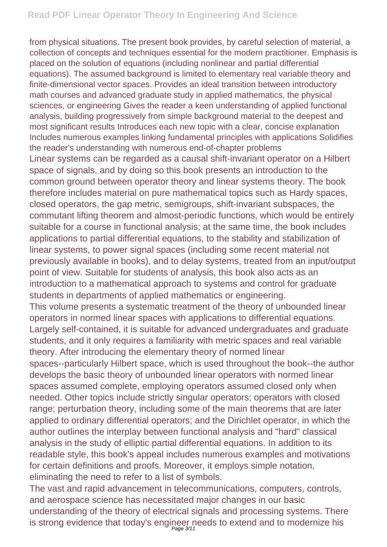from physical situations. The present book provides, by careful selection of material, a collection of concepts and techniques essential for the modern practitioner. Emphasis is placed on the solution of equations (including nonlinear and partial differential equations). The assumed background is limited to elementary real variable theory and finite-dimensional vector spaces. Provides an ideal transition between introductory math courses and advanced graduate study in applied mathematics, the physical sciences, or engineering Gives the reader a keen understanding of applied functional analysis, building progressively from simple background material to the deepest and most significant results Introduces each new topic with a clear, concise explanation Includes numerous examples linking fundamental principles with applications Solidifies the reader's understanding with numerous end-of-chapter problems Linear systems can be regarded as a causal shift-invariant operator on a Hilbert space of signals, and by doing so this book presents an introduction to the common ground between operator theory and linear systems theory. The book therefore includes material on pure mathematical topics such as Hardy spaces, closed operators, the gap metric, semigroups, shift-invariant subspaces, the commutant lifting theorem and almost-periodic functions, which would be entirely suitable for a course in functional analysis; at the same time, the book includes applications to partial differential equations, to the stability and stabilization of linear systems, to power signal spaces (including some recent material not previously available in books), and to delay systems, treated from an input/output point of view. Suitable for students of analysis, this book also acts as an introduction to a mathematical approach to systems and control for graduate students in departments of applied mathematics or engineering. This volume presents a systematic treatment of the theory of unbounded linear operators in normed linear spaces with applications to differential equations. Largely self-contained, it is suitable for advanced undergraduates and graduate students, and it only requires a familiarity with metric spaces and real variable theory. After introducing the elementary theory of normed linear spaces--particularly Hilbert space, which is used throughout the book--the author develops the basic theory of unbounded linear operators with normed linear spaces assumed complete, employing operators assumed closed only when needed. Other topics include strictly singular operators; operators with closed range; perturbation theory, including some of the main theorems that are later applied to ordinary differential operators; and the Dirichlet operator, in which the author outlines the interplay between functional analysis and "hard" classical analysis in the study of elliptic partial differential equations. In addition to its readable style, this book's appeal includes numerous examples and motivations

for certain definitions and proofs. Moreover, it employs simple notation, eliminating the need to refer to a list of symbols.

The vast and rapid advancement in telecommunications, computers, controls, and aerospace science has necessitated major changes in our basic understanding of the theory of electrical signals and processing systems. There is strong evidence that today's engineer needs to extend and to modernize his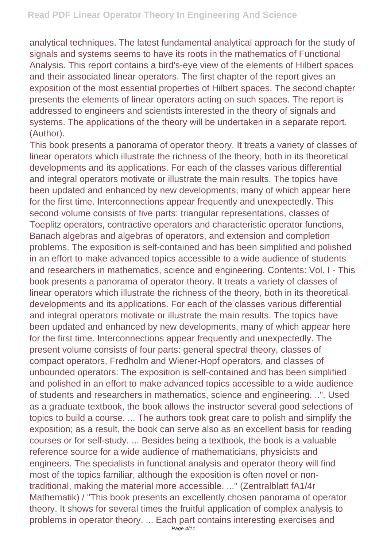analytical techniques. The latest fundamental analytical approach for the study of signals and systems seems to have its roots in the mathematics of Functional Analysis. This report contains a bird's-eye view of the elements of Hilbert spaces and their associated linear operators. The first chapter of the report gives an exposition of the most essential properties of Hilbert spaces. The second chapter presents the elements of linear operators acting on such spaces. The report is addressed to engineers and scientists interested in the theory of signals and systems. The applications of the theory will be undertaken in a separate report. (Author).

This book presents a panorama of operator theory. It treats a variety of classes of linear operators which illustrate the richness of the theory, both in its theoretical developments and its applications. For each of the classes various differential and integral operators motivate or illustrate the main results. The topics have been updated and enhanced by new developments, many of which appear here for the first time. Interconnections appear frequently and unexpectedly. This second volume consists of five parts: triangular representations, classes of Toeplitz operators, contractive operators and characteristic operator functions, Banach algebras and algebras of operators, and extension and completion problems. The exposition is self-contained and has been simplified and polished in an effort to make advanced topics accessible to a wide audience of students and researchers in mathematics, science and engineering. Contents: Vol. I - This book presents a panorama of operator theory. It treats a variety of classes of linear operators which illustrate the richness of the theory, both in its theoretical developments and its applications. For each of the classes various differential and integral operators motivate or illustrate the main results. The topics have been updated and enhanced by new developments, many of which appear here for the first time. Interconnections appear frequently and unexpectedly. The present volume consists of four parts: general spectral theory, classes of compact operators, Fredholm and Wiener-Hopf operators, and classes of unbounded operators: The exposition is self-contained and has been simplified and polished in an effort to make advanced topics accessible to a wide audience of students and researchers in mathematics, science and engineering. ..". Used as a graduate textbook, the book allows the instructor several good selections of topics to build a course. ... The authors took great care to polish and simplify the exposition; as a result, the book can serve also as an excellent basis for reading courses or for self-study. ... Besides being a textbook, the book is a valuable reference source for a wide audience of mathematicians, physicists and engineers. The specialists in functional analysis and operator theory will find most of the topics familiar, although the exposition is often novel or nontraditional, making the material more accessible. ..." (Zentralblatt fA1/4r Mathematik) / "This book presents an excellently chosen panorama of operator theory. It shows for several times the fruitful application of complex analysis to problems in operator theory. ... Each part contains interesting exercises and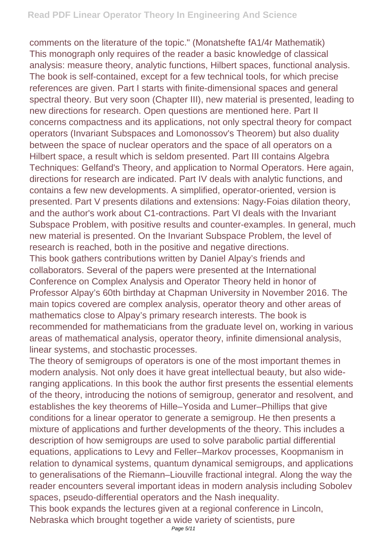comments on the literature of the topic." (Monatshefte fA1/4r Mathematik) This monograph only requires of the reader a basic knowledge of classical analysis: measure theory, analytic functions, Hilbert spaces, functional analysis. The book is self-contained, except for a few technical tools, for which precise references are given. Part I starts with finite-dimensional spaces and general spectral theory. But very soon (Chapter III), new material is presented, leading to new directions for research. Open questions are mentioned here. Part II concerns compactness and its applications, not only spectral theory for compact operators (Invariant Subspaces and Lomonossov's Theorem) but also duality between the space of nuclear operators and the space of all operators on a Hilbert space, a result which is seldom presented. Part III contains Algebra Techniques: Gelfand's Theory, and application to Normal Operators. Here again, directions for research are indicated. Part IV deals with analytic functions, and contains a few new developments. A simplified, operator-oriented, version is presented. Part V presents dilations and extensions: Nagy-Foias dilation theory, and the author's work about C1-contractions. Part VI deals with the Invariant Subspace Problem, with positive results and counter-examples. In general, much new material is presented. On the Invariant Subspace Problem, the level of research is reached, both in the positive and negative directions. This book gathers contributions written by Daniel Alpay's friends and collaborators. Several of the papers were presented at the International Conference on Complex Analysis and Operator Theory held in honor of Professor Alpay's 60th birthday at Chapman University in November 2016. The main topics covered are complex analysis, operator theory and other areas of mathematics close to Alpay's primary research interests. The book is recommended for mathematicians from the graduate level on, working in various areas of mathematical analysis, operator theory, infinite dimensional analysis, linear systems, and stochastic processes.

The theory of semigroups of operators is one of the most important themes in modern analysis. Not only does it have great intellectual beauty, but also wideranging applications. In this book the author first presents the essential elements of the theory, introducing the notions of semigroup, generator and resolvent, and establishes the key theorems of Hille–Yosida and Lumer–Phillips that give conditions for a linear operator to generate a semigroup. He then presents a mixture of applications and further developments of the theory. This includes a description of how semigroups are used to solve parabolic partial differential equations, applications to Levy and Feller–Markov processes, Koopmanism in relation to dynamical systems, quantum dynamical semigroups, and applications to generalisations of the Riemann–Liouville fractional integral. Along the way the reader encounters several important ideas in modern analysis including Sobolev spaces, pseudo-differential operators and the Nash inequality.

This book expands the lectures given at a regional conference in Lincoln, Nebraska which brought together a wide variety of scientists, pure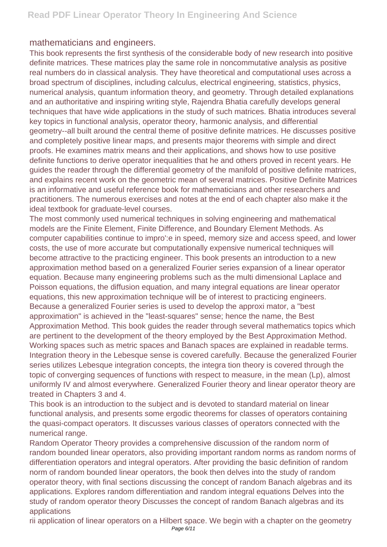## mathematicians and engineers.

This book represents the first synthesis of the considerable body of new research into positive definite matrices. These matrices play the same role in noncommutative analysis as positive real numbers do in classical analysis. They have theoretical and computational uses across a broad spectrum of disciplines, including calculus, electrical engineering, statistics, physics, numerical analysis, quantum information theory, and geometry. Through detailed explanations and an authoritative and inspiring writing style, Rajendra Bhatia carefully develops general techniques that have wide applications in the study of such matrices. Bhatia introduces several key topics in functional analysis, operator theory, harmonic analysis, and differential geometry--all built around the central theme of positive definite matrices. He discusses positive and completely positive linear maps, and presents major theorems with simple and direct proofs. He examines matrix means and their applications, and shows how to use positive definite functions to derive operator inequalities that he and others proved in recent years. He guides the reader through the differential geometry of the manifold of positive definite matrices, and explains recent work on the geometric mean of several matrices. Positive Definite Matrices is an informative and useful reference book for mathematicians and other researchers and practitioners. The numerous exercises and notes at the end of each chapter also make it the ideal textbook for graduate-level courses.

The most commonly used numerical techniques in solving engineering and mathematical models are the Finite Element, Finite Difference, and Boundary Element Methods. As computer capabilities continue to impro':e in speed, memory size and access speed, and lower costs, the use of more accurate but computationally expensive numerical techniques will become attractive to the practicing engineer. This book presents an introduction to a new approximation method based on a generalized Fourier series expansion of a linear operator equation. Because many engineering problems such as the multi dimensional Laplace and Poisson equations, the diffusion equation, and many integral equations are linear operator equations, this new approximation technique will be of interest to practicing engineers. Because a generalized Fourier series is used to develop the approxi mator, a "best approximation" is achieved in the "least-squares" sense; hence the name, the Best Approximation Method. This book guides the reader through several mathematics topics which are pertinent to the development of the theory employed by the Best Approximation Method. Working spaces such as metric spaces and Banach spaces are explained in readable terms. Integration theory in the Lebesque sense is covered carefully. Because the generalized Fourier series utilizes Lebesque integration concepts, the integra tion theory is covered through the topic of converging sequences of functions with respect to measure, in the mean (Lp), almost uniformly IV and almost everywhere. Generalized Fourier theory and linear operator theory are treated in Chapters 3 and 4.

This book is an introduction to the subject and is devoted to standard material on linear functional analysis, and presents some ergodic theorems for classes of operators containing the quasi-compact operators. It discusses various classes of operators connected with the numerical range.

Random Operator Theory provides a comprehensive discussion of the random norm of random bounded linear operators, also providing important random norms as random norms of differentiation operators and integral operators. After providing the basic definition of random norm of random bounded linear operators, the book then delves into the study of random operator theory, with final sections discussing the concept of random Banach algebras and its applications. Explores random differentiation and random integral equations Delves into the study of random operator theory Discusses the concept of random Banach algebras and its applications

rii application of linear operators on a Hilbert space. We begin with a chapter on the geometry Page 6/11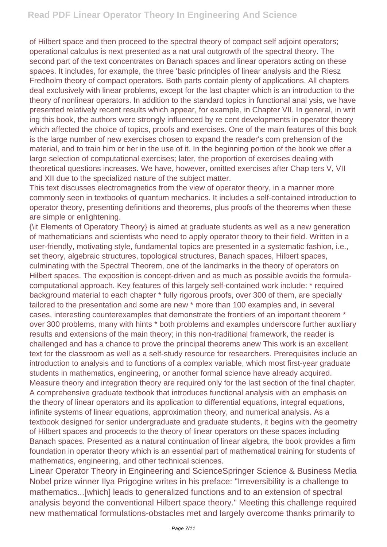of Hilbert space and then proceed to the spectral theory of compact self adjoint operators; operational calculus is next presented as a nat ural outgrowth of the spectral theory. The second part of the text concentrates on Banach spaces and linear operators acting on these spaces. It includes, for example, the three 'basic principles of linear analysis and the Riesz Fredholm theory of compact operators. Both parts contain plenty of applications. All chapters deal exclusively with linear problems, except for the last chapter which is an introduction to the theory of nonlinear operators. In addition to the standard topics in functional anal ysis, we have presented relatively recent results which appear, for example, in Chapter VII. In general, in writ ing this book, the authors were strongly influenced by re cent developments in operator theory which affected the choice of topics, proofs and exercises. One of the main features of this book is the large number of new exercises chosen to expand the reader's com prehension of the material, and to train him or her in the use of it. In the beginning portion of the book we offer a large selection of computational exercises; later, the proportion of exercises dealing with theoretical questions increases. We have, however, omitted exercises after Chap ters V, VII and XII due to the specialized nature of the subject matter.

This text discusses electromagnetics from the view of operator theory, in a manner more commonly seen in textbooks of quantum mechanics. It includes a self-contained introduction to operator theory, presenting definitions and theorems, plus proofs of the theorems when these are simple or enlightening.

{\it Elements of Operatory Theory} is aimed at graduate students as well as a new generation of mathematicians and scientists who need to apply operator theory to their field. Written in a user-friendly, motivating style, fundamental topics are presented in a systematic fashion, i.e., set theory, algebraic structures, topological structures, Banach spaces, Hilbert spaces, culminating with the Spectral Theorem, one of the landmarks in the theory of operators on Hilbert spaces. The exposition is concept-driven and as much as possible avoids the formulacomputational approach. Key features of this largely self-contained work include: \* required background material to each chapter \* fully rigorous proofs, over 300 of them, are specially tailored to the presentation and some are new \* more than 100 examples and, in several cases, interesting counterexamples that demonstrate the frontiers of an important theorem \* over 300 problems, many with hints \* both problems and examples underscore further auxiliary results and extensions of the main theory; in this non-traditional framework, the reader is challenged and has a chance to prove the principal theorems anew This work is an excellent text for the classroom as well as a self-study resource for researchers. Prerequisites include an introduction to analysis and to functions of a complex variable, which most first-year graduate students in mathematics, engineering, or another formal science have already acquired. Measure theory and integration theory are required only for the last section of the final chapter. A comprehensive graduate textbook that introduces functional analysis with an emphasis on the theory of linear operators and its application to differential equations, integral equations, infinite systems of linear equations, approximation theory, and numerical analysis. As a textbook designed for senior undergraduate and graduate students, it begins with the geometry of Hilbert spaces and proceeds to the theory of linear operators on these spaces including Banach spaces. Presented as a natural continuation of linear algebra, the book provides a firm foundation in operator theory which is an essential part of mathematical training for students of mathematics, engineering, and other technical sciences.

Linear Operator Theory in Engineering and ScienceSpringer Science & Business Media Nobel prize winner Ilya Prigogine writes in his preface: "Irreversibility is a challenge to mathematics...[which] leads to generalized functions and to an extension of spectral analysis beyond the conventional Hilbert space theory." Meeting this challenge required new mathematical formulations-obstacles met and largely overcome thanks primarily to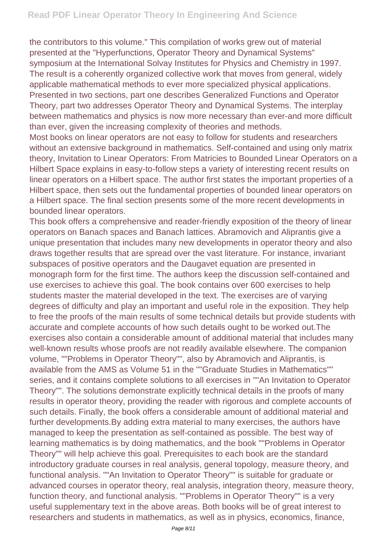the contributors to this volume." This compilation of works grew out of material presented at the "Hyperfunctions, Operator Theory and Dynamical Systems" symposium at the International Solvay Institutes for Physics and Chemistry in 1997. The result is a coherently organized collective work that moves from general, widely applicable mathematical methods to ever more specialized physical applications. Presented in two sections, part one describes Generalized Functions and Operator Theory, part two addresses Operator Theory and Dynamical Systems. The interplay between mathematics and physics is now more necessary than ever-and more difficult than ever, given the increasing complexity of theories and methods.

Most books on linear operators are not easy to follow for students and researchers without an extensive background in mathematics. Self-contained and using only matrix theory, Invitation to Linear Operators: From Matricies to Bounded Linear Operators on a Hilbert Space explains in easy-to-follow steps a variety of interesting recent results on linear operators on a Hilbert space. The author first states the important properties of a Hilbert space, then sets out the fundamental properties of bounded linear operators on a Hilbert space. The final section presents some of the more recent developments in bounded linear operators.

This book offers a comprehensive and reader-friendly exposition of the theory of linear operators on Banach spaces and Banach lattices. Abramovich and Aliprantis give a unique presentation that includes many new developments in operator theory and also draws together results that are spread over the vast literature. For instance, invariant subspaces of positive operators and the Daugavet equation are presented in monograph form for the first time. The authors keep the discussion self-contained and use exercises to achieve this goal. The book contains over 600 exercises to help students master the material developed in the text. The exercises are of varying degrees of difficulty and play an important and useful role in the exposition. They help to free the proofs of the main results of some technical details but provide students with accurate and complete accounts of how such details ought to be worked out.The exercises also contain a considerable amount of additional material that includes many well-known results whose proofs are not readily available elsewhere. The companion volume, ""Problems in Operator Theory"", also by Abramovich and Aliprantis, is available from the AMS as Volume 51 in the ""Graduate Studies in Mathematics"" series, and it contains complete solutions to all exercises in ""An Invitation to Operator Theory"". The solutions demonstrate explicitly technical details in the proofs of many results in operator theory, providing the reader with rigorous and complete accounts of such details. Finally, the book offers a considerable amount of additional material and further developments.By adding extra material to many exercises, the authors have managed to keep the presentation as self-contained as possible. The best way of learning mathematics is by doing mathematics, and the book ""Problems in Operator Theory"" will help achieve this goal. Prerequisites to each book are the standard introductory graduate courses in real analysis, general topology, measure theory, and functional analysis. ""An Invitation to Operator Theory"" is suitable for graduate or advanced courses in operator theory, real analysis, integration theory, measure theory, function theory, and functional analysis. ""Problems in Operator Theory"" is a very useful supplementary text in the above areas. Both books will be of great interest to researchers and students in mathematics, as well as in physics, economics, finance,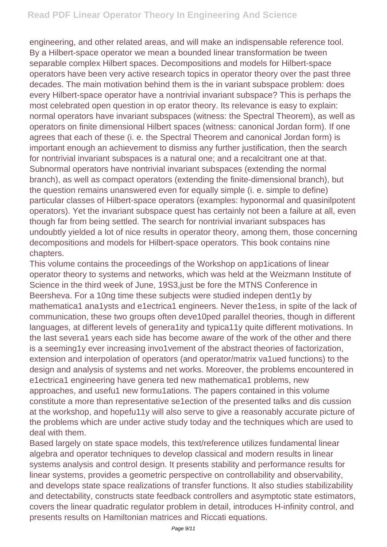engineering, and other related areas, and will make an indispensable reference tool. By a Hilbert-space operator we mean a bounded linear transformation be tween separable complex Hilbert spaces. Decompositions and models for Hilbert-space operators have been very active research topics in operator theory over the past three decades. The main motivation behind them is the in variant subspace problem: does every Hilbert-space operator have a nontrivial invariant subspace? This is perhaps the most celebrated open question in op erator theory. Its relevance is easy to explain: normal operators have invariant subspaces (witness: the Spectral Theorem), as well as operators on finite dimensional Hilbert spaces (witness: canonical Jordan form). If one agrees that each of these (i. e. the Spectral Theorem and canonical Jordan form) is important enough an achievement to dismiss any further justification, then the search for nontrivial invariant subspaces is a natural one; and a recalcitrant one at that. Subnormal operators have nontrivial invariant subspaces (extending the normal branch), as well as compact operators (extending the finite-dimensional branch), but the question remains unanswered even for equally simple (i. e. simple to define) particular classes of Hilbert-space operators (examples: hyponormal and quasinilpotent operators). Yet the invariant subspace quest has certainly not been a failure at all, even though far from being settled. The search for nontrivial invariant subspaces has undoubtly yielded a lot of nice results in operator theory, among them, those concerning decompositions and models for Hilbert-space operators. This book contains nine chapters.

This volume contains the proceedings of the Workshop on app1ications of linear operator theory to systems and networks, which was held at the Weizmann Institute of Science in the third week of June, 19S3,just be fore the MTNS Conference in Beersheva. For a 10ng time these subjects were studied indepen dent1y by mathematica1 ana1ysts and e1ectrica1 engineers. Never the1ess, in spite of the lack of communication, these two groups often deve10ped parallel theories, though in different languages, at different levels of genera1ity and typica11y quite different motivations. In the last severa1 years each side has become aware of the work of the other and there is a seeming1y ever increasing invo1vement of the abstract theories of factorization, extension and interpolation of operators (and operator/matrix va1ued functions) to the design and analysis of systems and net works. Moreover, the problems encountered in e1ectrica1 engineering have genera ted new mathematica1 problems, new approaches, and usefu1 new formu1ations. The papers contained in this volume constitute a more than representative se1ection of the presented talks and dis cussion at the workshop, and hopefu11y will also serve to give a reasonably accurate picture of the problems which are under active study today and the techniques which are used to deal with them.

Based largely on state space models, this text/reference utilizes fundamental linear algebra and operator techniques to develop classical and modern results in linear systems analysis and control design. It presents stability and performance results for linear systems, provides a geometric perspective on controllability and observability, and develops state space realizations of transfer functions. It also studies stabilizability and detectability, constructs state feedback controllers and asymptotic state estimators, covers the linear quadratic regulator problem in detail, introduces H-infinity control, and presents results on Hamiltonian matrices and Riccati equations.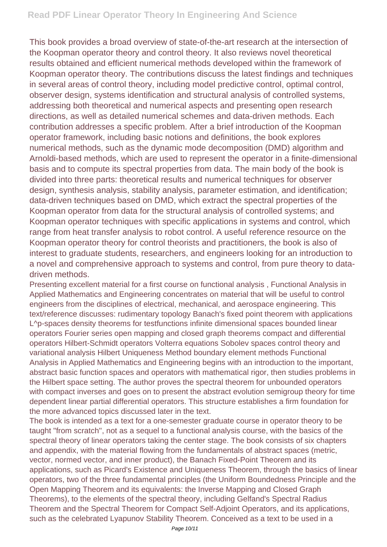This book provides a broad overview of state-of-the-art research at the intersection of the Koopman operator theory and control theory. It also reviews novel theoretical results obtained and efficient numerical methods developed within the framework of Koopman operator theory. The contributions discuss the latest findings and techniques in several areas of control theory, including model predictive control, optimal control, observer design, systems identification and structural analysis of controlled systems, addressing both theoretical and numerical aspects and presenting open research directions, as well as detailed numerical schemes and data-driven methods. Each contribution addresses a specific problem. After a brief introduction of the Koopman operator framework, including basic notions and definitions, the book explores numerical methods, such as the dynamic mode decomposition (DMD) algorithm and Arnoldi-based methods, which are used to represent the operator in a finite-dimensional basis and to compute its spectral properties from data. The main body of the book is divided into three parts: theoretical results and numerical techniques for observer design, synthesis analysis, stability analysis, parameter estimation, and identification; data-driven techniques based on DMD, which extract the spectral properties of the Koopman operator from data for the structural analysis of controlled systems; and Koopman operator techniques with specific applications in systems and control, which range from heat transfer analysis to robot control. A useful reference resource on the Koopman operator theory for control theorists and practitioners, the book is also of interest to graduate students, researchers, and engineers looking for an introduction to a novel and comprehensive approach to systems and control, from pure theory to datadriven methods.

Presenting excellent material for a first course on functional analysis , Functional Analysis in Applied Mathematics and Engineering concentrates on material that will be useful to control engineers from the disciplines of electrical, mechanical, and aerospace engineering. This text/reference discusses: rudimentary topology Banach's fixed point theorem with applications L^p-spaces density theorems for testfunctions infinite dimensional spaces bounded linear operators Fourier series open mapping and closed graph theorems compact and differential operators Hilbert-Schmidt operators Volterra equations Sobolev spaces control theory and variational analysis Hilbert Uniqueness Method boundary element methods Functional Analysis in Applied Mathematics and Engineering begins with an introduction to the important, abstract basic function spaces and operators with mathematical rigor, then studies problems in the Hilbert space setting. The author proves the spectral theorem for unbounded operators with compact inverses and goes on to present the abstract evolution semigroup theory for time dependent linear partial differential operators. This structure establishes a firm foundation for the more advanced topics discussed later in the text.

The book is intended as a text for a one-semester graduate course in operator theory to be taught "from scratch'', not as a sequel to a functional analysis course, with the basics of the spectral theory of linear operators taking the center stage. The book consists of six chapters and appendix, with the material flowing from the fundamentals of abstract spaces (metric, vector, normed vector, and inner product), the Banach Fixed-Point Theorem and its applications, such as Picard's Existence and Uniqueness Theorem, through the basics of linear operators, two of the three fundamental principles (the Uniform Boundedness Principle and the Open Mapping Theorem and its equivalents: the Inverse Mapping and Closed Graph Theorems), to the elements of the spectral theory, including Gelfand's Spectral Radius Theorem and the Spectral Theorem for Compact Self-Adjoint Operators, and its applications, such as the celebrated Lyapunov Stability Theorem. Conceived as a text to be used in a